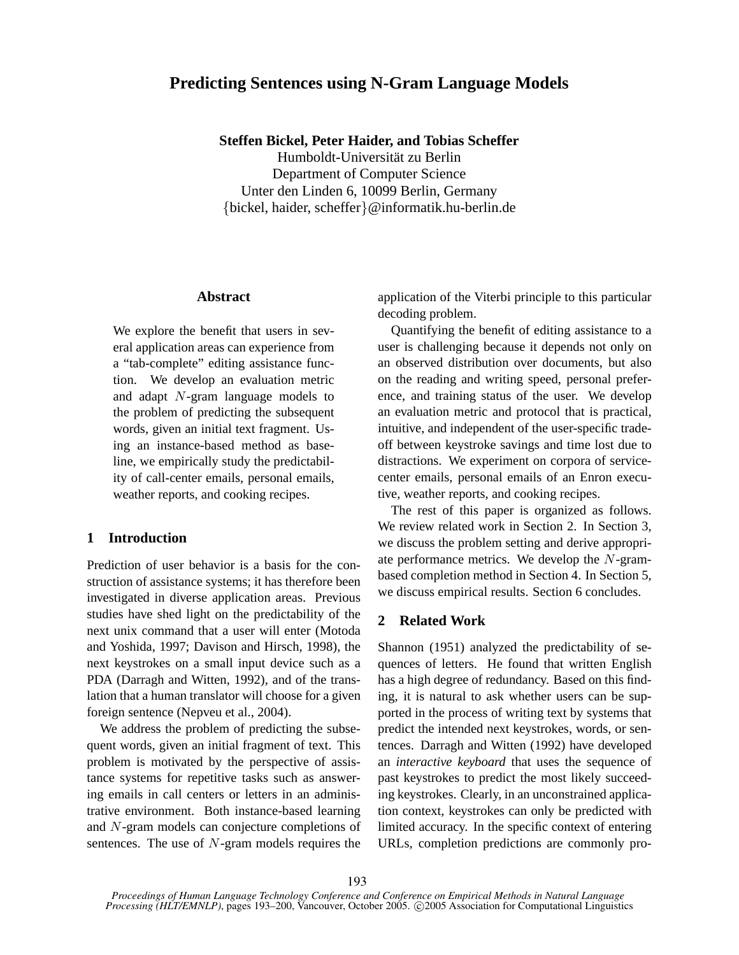# **Predicting Sentences using N-Gram Language Models**

**Steffen Bickel, Peter Haider, and Tobias Scheffer**

Humboldt-Universitat zu Berlin ¨ Department of Computer Science Unter den Linden 6, 10099 Berlin, Germany {bickel, haider, scheffer}@informatik.hu-berlin.de

### **Abstract**

We explore the benefit that users in several application areas can experience from a "tab-complete" editing assistance function. We develop an evaluation metric and adapt N-gram language models to the problem of predicting the subsequent words, given an initial text fragment. Using an instance-based method as baseline, we empirically study the predictability of call-center emails, personal emails, weather reports, and cooking recipes.

### **1 Introduction**

Prediction of user behavior is a basis for the construction of assistance systems; it has therefore been investigated in diverse application areas. Previous studies have shed light on the predictability of the next unix command that a user will enter (Motoda and Yoshida, 1997; Davison and Hirsch, 1998), the next keystrokes on a small input device such as a PDA (Darragh and Witten, 1992), and of the translation that a human translator will choose for a given foreign sentence (Nepveu et al., 2004).

We address the problem of predicting the subsequent words, given an initial fragment of text. This problem is motivated by the perspective of assistance systems for repetitive tasks such as answering emails in call centers or letters in an administrative environment. Both instance-based learning and N-gram models can conjecture completions of sentences. The use of N-gram models requires the

application of the Viterbi principle to this particular decoding problem.

Quantifying the benefit of editing assistance to a user is challenging because it depends not only on an observed distribution over documents, but also on the reading and writing speed, personal preference, and training status of the user. We develop an evaluation metric and protocol that is practical, intuitive, and independent of the user-specific tradeoff between keystroke savings and time lost due to distractions. We experiment on corpora of servicecenter emails, personal emails of an Enron executive, weather reports, and cooking recipes.

The rest of this paper is organized as follows. We review related work in Section 2. In Section 3, we discuss the problem setting and derive appropriate performance metrics. We develop the N-grambased completion method in Section 4. In Section 5, we discuss empirical results. Section 6 concludes.

## **2 Related Work**

Shannon (1951) analyzed the predictability of sequences of letters. He found that written English has a high degree of redundancy. Based on this finding, it is natural to ask whether users can be supported in the process of writing text by systems that predict the intended next keystrokes, words, or sentences. Darragh and Witten (1992) have developed an *interactive keyboard* that uses the sequence of past keystrokes to predict the most likely succeeding keystrokes. Clearly, in an unconstrained application context, keystrokes can only be predicted with limited accuracy. In the specific context of entering URLs, completion predictions are commonly pro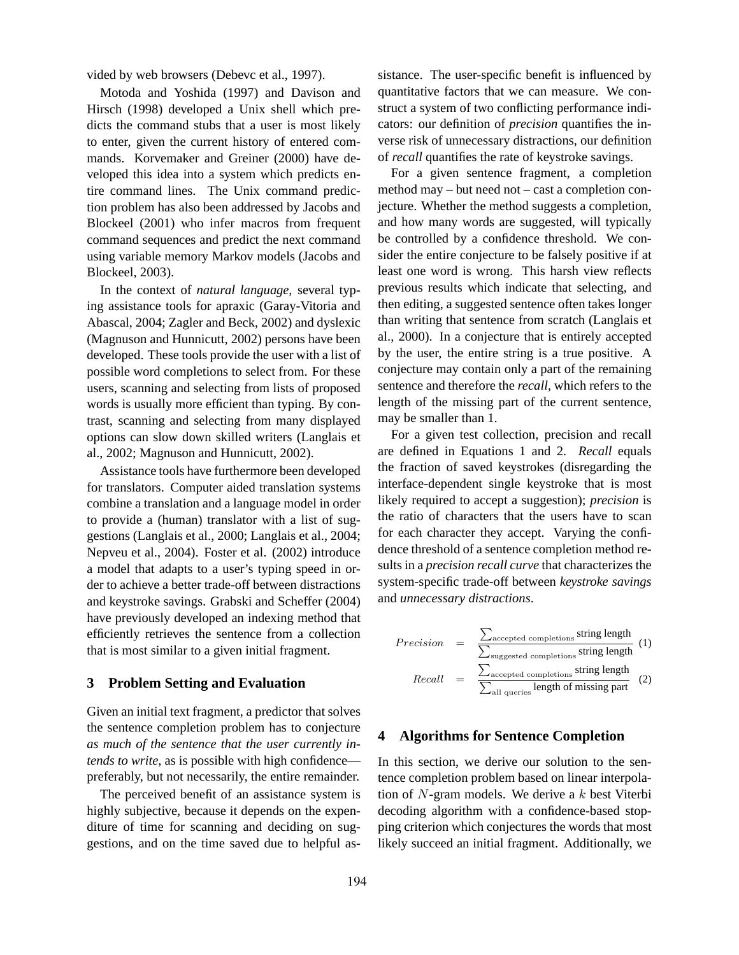vided by web browsers (Debevc et al., 1997).

Motoda and Yoshida (1997) and Davison and Hirsch (1998) developed a Unix shell which predicts the command stubs that a user is most likely to enter, given the current history of entered commands. Korvemaker and Greiner (2000) have developed this idea into a system which predicts entire command lines. The Unix command prediction problem has also been addressed by Jacobs and Blockeel (2001) who infer macros from frequent command sequences and predict the next command using variable memory Markov models (Jacobs and Blockeel, 2003).

In the context of *natural language*, several typing assistance tools for apraxic (Garay-Vitoria and Abascal, 2004; Zagler and Beck, 2002) and dyslexic (Magnuson and Hunnicutt, 2002) persons have been developed. These tools provide the user with a list of possible word completions to select from. For these users, scanning and selecting from lists of proposed words is usually more efficient than typing. By contrast, scanning and selecting from many displayed options can slow down skilled writers (Langlais et al., 2002; Magnuson and Hunnicutt, 2002).

Assistance tools have furthermore been developed for translators. Computer aided translation systems combine a translation and a language model in order to provide a (human) translator with a list of suggestions (Langlais et al., 2000; Langlais et al., 2004; Nepveu et al., 2004). Foster et al. (2002) introduce a model that adapts to a user's typing speed in order to achieve a better trade-off between distractions and keystroke savings. Grabski and Scheffer (2004) have previously developed an indexing method that efficiently retrieves the sentence from a collection that is most similar to a given initial fragment.

### **3 Problem Setting and Evaluation**

Given an initial text fragment, a predictor that solves the sentence completion problem has to conjecture *as much of the sentence that the user currently intends to write*, as is possible with high confidence preferably, but not necessarily, the entire remainder.

The perceived benefit of an assistance system is highly subjective, because it depends on the expenditure of time for scanning and deciding on suggestions, and on the time saved due to helpful assistance. The user-specific benefit is influenced by quantitative factors that we can measure. We construct a system of two conflicting performance indicators: our definition of *precision* quantifies the inverse risk of unnecessary distractions, our definition of *recall* quantifies the rate of keystroke savings.

For a given sentence fragment, a completion method may – but need not – cast a completion conjecture. Whether the method suggests a completion, and how many words are suggested, will typically be controlled by a confidence threshold. We consider the entire conjecture to be falsely positive if at least one word is wrong. This harsh view reflects previous results which indicate that selecting, and then editing, a suggested sentence often takes longer than writing that sentence from scratch (Langlais et al., 2000). In a conjecture that is entirely accepted by the user, the entire string is a true positive. A conjecture may contain only a part of the remaining sentence and therefore the *recall*, which refers to the length of the missing part of the current sentence, may be smaller than 1.

For a given test collection, precision and recall are defined in Equations 1 and 2. *Recall* equals the fraction of saved keystrokes (disregarding the interface-dependent single keystroke that is most likely required to accept a suggestion); *precision* is the ratio of characters that the users have to scan for each character they accept. Varying the confidence threshold of a sentence completion method results in a *precision recall curve* that characterizes the system-specific trade-off between *keystroke savings* and *unnecessary distractions*.

$$
Precision = \frac{\sum_{\text{accepted completions}} \text{string length}}{\sum_{\text{suggested completions}} \text{string length}} (1)
$$
\n
$$
Recall = \frac{\sum_{\text{accepted completions}} \text{string length}}{\sum_{\text{all queries}} \text{length of missing part}} (2)
$$

### **4 Algorithms for Sentence Completion**

In this section, we derive our solution to the sentence completion problem based on linear interpolation of  $N$ -gram models. We derive a  $k$  best Viterbi decoding algorithm with a confidence-based stopping criterion which conjectures the words that most likely succeed an initial fragment. Additionally, we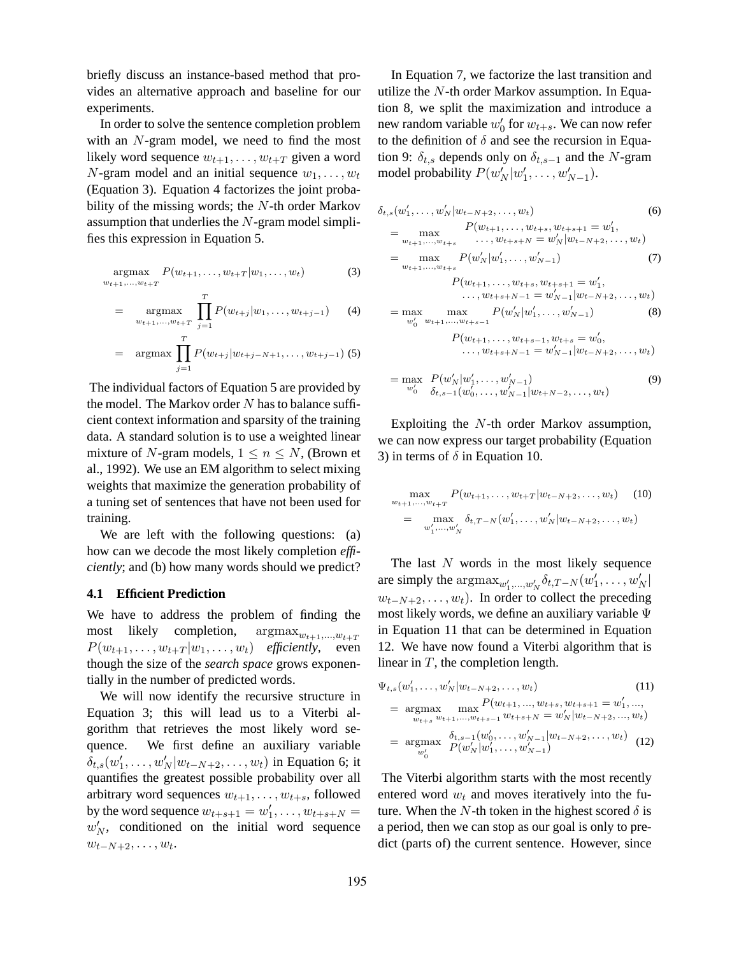briefly discuss an instance-based method that provides an alternative approach and baseline for our experiments.

In order to solve the sentence completion problem with an N-gram model, we need to find the most likely word sequence  $w_{t+1}, \ldots, w_{t+T}$  given a word N-gram model and an initial sequence  $w_1, \ldots, w_t$ (Equation 3). Equation 4 factorizes the joint probability of the missing words; the  $N$ -th order Markov assumption that underlies the  $N$ -gram model simplifies this expression in Equation 5.

$$
\underset{w_{t+1},...,w_{t+T}}{\text{argmax}} P(w_{t+1},...,w_{t+T}|w_1,...,w_t)
$$
 (3)

$$
= \mathop{\rm argmax}_{w_{t+1},...,w_{t+T}} \prod_{j=1}^{T} P(w_{t+j}|w_1,...,w_{t+j-1}) \qquad (4)
$$

$$
= \arg\max \prod_{j=1}^{T} P(w_{t+j}|w_{t+j-N+1}, \ldots, w_{t+j-1})
$$
 (5)

The individual factors of Equation 5 are provided by the model. The Markov order  $N$  has to balance sufficient context information and sparsity of the training data. A standard solution is to use a weighted linear mixture of N-gram models,  $1 \le n \le N$ , (Brown et al., 1992). We use an EM algorithm to select mixing weights that maximize the generation probability of a tuning set of sentences that have not been used for training.

We are left with the following questions: (a) how can we decode the most likely completion *efficiently*; and (b) how many words should we predict?

#### **4.1 Efficient Prediction**

We have to address the problem of finding the most likely completion,  $\arg\max_{w_{t+1},...,w_{t+T}}$  $P(w_{t+1}, \ldots, w_{t+T} | w_1, \ldots, w_t)$  *efficiently*, even though the size of the *search space* grows exponentially in the number of predicted words.

We will now identify the recursive structure in Equation 3; this will lead us to a Viterbi algorithm that retrieves the most likely word sequence. We first define an auxiliary variable  $\delta_{t,s}(w'_1,\ldots,w'_N|w_{t-N+2},\ldots,w_t)$  in Equation 6; it quantifies the greatest possible probability over all arbitrary word sequences  $w_{t+1}, \ldots, w_{t+s}$ , followed by the word sequence  $w_{t+s+1} = w'_1, \ldots, w_{t+s+N} =$  $w'_N$ , conditioned on the initial word sequence  $w_{t-N+2}, \ldots, w_t$ .

In Equation 7, we factorize the last transition and utilize the N-th order Markov assumption. In Equation 8, we split the maximization and introduce a new random variable  $w'_0$  for  $w_{t+s}$ . We can now refer to the definition of  $\delta$  and see the recursion in Equation 9:  $\delta_{t,s}$  depends only on  $\delta_{t,s-1}$  and the N-gram model probability  $P(w'_N|w'_1,\ldots,w'_{N-1})$ .

$$
\delta_{t,s}(w'_1, \ldots, w'_N | w_{t-N+2}, \ldots, w_t)
$$
\n
$$
= \max_{w_{t+1}, \ldots, w_{t+s}} P(w_{t+1}, \ldots, w_{t+s+N} = w'_N | w_{t-N+2}, \ldots, w_t)
$$
\n
$$
= \max_{w_{t+1}, \ldots, w_{t+s}} P(w'_N | w'_1, \ldots, w'_{N-1})
$$
\n
$$
P(w_{t+1}, \ldots, w_{t+s}, w_{t+s+1} = w'_1,
$$
\n
$$
\ldots, w_{t+s+N-1} = w'_{N-1} | w_{t-N+2}, \ldots, w_t)
$$
\n
$$
= \max_{w'_0} \max_{w_{t+1}, \ldots, w_{t+s-1}} P(w'_N | w'_1, \ldots, w'_{N-1})
$$
\n
$$
P(w_{t+1}, \ldots, w_{t+s-1}, w_{t+s} = w'_0,
$$
\n
$$
\ldots, w_{t+s+N-1} = w'_{N-1} | w_{t-N+2}, \ldots, w_t)
$$
\n
$$
= \max_{w'_0} P(w'_N | w'_1, \ldots, w'_{N-1})
$$
\n
$$
= \max_{w'_0} P(w'_N | w'_1, \ldots, w'_{N-1})
$$
\n(9)

Exploiting the N-th order Markov assumption, we can now express our target probability (Equation 3) in terms of  $\delta$  in Equation 10.

$$
\max_{w_{t+1},...,w_{t+T}} P(w_{t+1},...,w_{t+T}|w_{t-N+2},...,w_t) \quad (10)
$$
  
= 
$$
\max_{w'_1,...,w'_N} \delta_{t,T-N}(w'_1,...,w'_N|w_{t-N+2},...,w_t)
$$

The last  $N$  words in the most likely sequence are simply the  $\arg\max_{w'_1,\dots,w'_N} \delta_{t,T-N}(w'_1,\dots,w'_N)$  $w_{t-N+2}, \ldots, w_t$ ). In order to collect the preceding most likely words, we define an auxiliary variable Ψ in Equation 11 that can be determined in Equation 12. We have now found a Viterbi algorithm that is linear in  $T$ , the completion length.

$$
\Psi_{t,s}(w'_1, \dots, w'_N | w_{t-N+2}, \dots, w_t)
$$
\n
$$
= \underset{w_{t+s}}{\operatorname{argmax}} \max_{w_{t+1}, \dots, w_{t+s-1}} P(w_{t+1}, \dots, w_{t+s}, w_{t+s+1} = w'_1, \dots, w_{w_{t+s}} w_{t+1}, \dots, w_{t+s+1} = w'_{N} | w_{t-N+2}, \dots, w_t)
$$
\n
$$
= \underset{w'_0}{\operatorname{argmax}} \frac{\delta_{t,s-1}(w'_0, \dots, w'_{N-1} | w_{t-N+2}, \dots, w_t)}{P(w'_N | w'_1, \dots, w'_{N-1})}
$$
\n(12)

The Viterbi algorithm starts with the most recently entered word  $w_t$  and moves iteratively into the future. When the N-th token in the highest scored  $\delta$  is a period, then we can stop as our goal is only to predict (parts of) the current sentence. However, since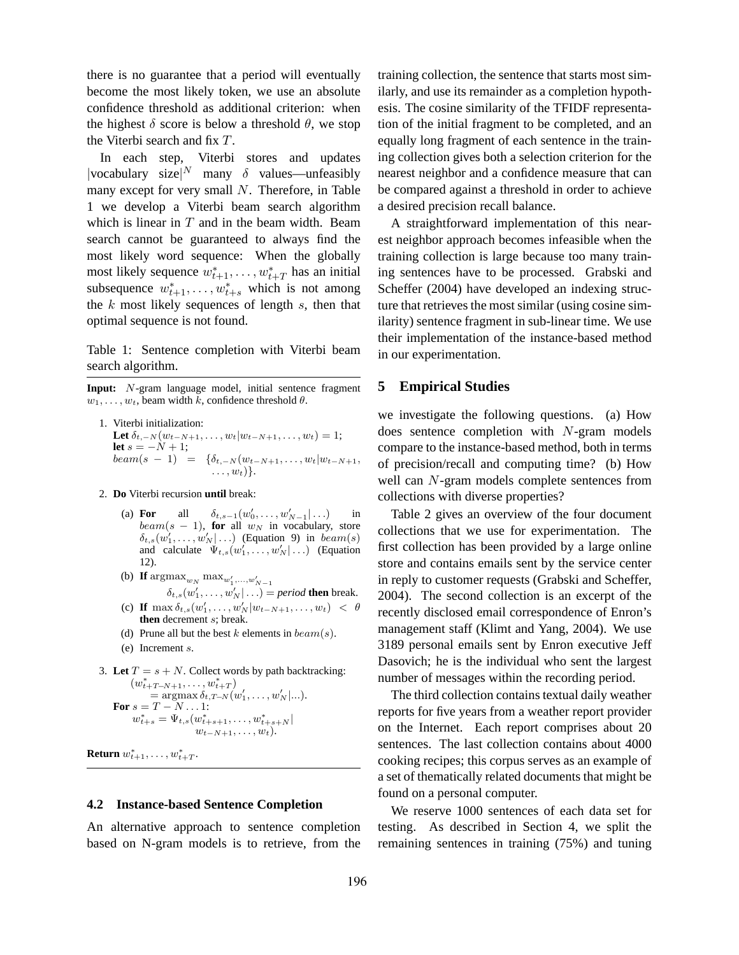there is no guarantee that a period will eventually become the most likely token, we use an absolute confidence threshold as additional criterion: when the highest  $\delta$  score is below a threshold  $\theta$ , we stop the Viterbi search and fix T.

In each step, Viterbi stores and updates |vocabulary size|<sup>N</sup> many  $\delta$  values—unfeasibly many except for very small N. Therefore, in Table 1 we develop a Viterbi beam search algorithm which is linear in  $T$  and in the beam width. Beam search cannot be guaranteed to always find the most likely word sequence: When the globally most likely sequence  $w_{t+1}^*$ , ...,  $w_{t+T}^*$  has an initial subsequence  $w_{t+1}^*$ , ...,  $w_{t+s}^*$  which is not among the  $k$  most likely sequences of length  $s$ , then that optimal sequence is not found.

Table 1: Sentence completion with Viterbi beam search algorithm.

**Input:** N-gram language model, initial sentence fragment  $w_1, \ldots, w_t$ , beam width k, confidence threshold  $\theta$ .

1. Viterbi initialization: Let  $\delta_{t,-N}(w_{t-N+1},\ldots,w_t|w_{t-N+1},\ldots,w_t)=1;$ **let**  $s = -N + 1$ ;  $beam(s - 1) = {\delta_{t,-N}(w_{t-N+1}, \ldots, w_t|w_{t-N+1}},$  $\ldots, w_t)$ .

- 2. **Do** Viterbi recursion **until** break:
	- (a) **For** all  $\delta_{t,s-1}(w'_0, \ldots, w'_{N-1} | \ldots)$  in  $beam(s - 1)$ , for all  $w_N$  in vocabulary, store  $\delta_{t,s}(w'_1,\ldots,w'_N|\ldots)$  (Equation 9) in  $beam(s)$ and calculate  $\Psi_{t,s}(w'_1,\ldots,w'_N|\ldots)$  (Equation 12).
	- (b) **If**  $\arg \max_{w_N} \max_{w'_1, ..., w'_{N-1}}$  $\delta_{t,s}(w'_1,\ldots,w'_N|\ldots) = period$  **then** break.
	- (c) **If**  $\max \delta_{t,s}(w'_1, \ldots, w'_N | w_{t-N+1}, \ldots, w_t) < \theta$ **then** decrement s; break.
	- (d) Prune all but the best k elements in  $beam(s)$ .
	- (e) Increment s.
- 3. Let  $T = s + N$ . Collect words by path backtracking:  $(w_{t+T-N+1}^*, \ldots, w_{t+T}^*)$  $= \arg \max \delta_{t, T-N}(w'_1, \ldots, w'_N | \ldots).$ **For**  $s = T - N \dots 1$ :  $w_{t+s}^* = \Psi_{t,s}(w_{t+s+1}^*, \ldots, w_{t+s+N}^*)$  $w_{t-N+1}, \ldots, w_t$ ).

**Return**  $w_{t+1}^*, \ldots, w_{t+T}^*$ .

#### **4.2 Instance-based Sentence Completion**

An alternative approach to sentence completion based on N-gram models is to retrieve, from the

training collection, the sentence that starts most similarly, and use its remainder as a completion hypothesis. The cosine similarity of the TFIDF representation of the initial fragment to be completed, and an equally long fragment of each sentence in the training collection gives both a selection criterion for the nearest neighbor and a confidence measure that can be compared against a threshold in order to achieve a desired precision recall balance.

A straightforward implementation of this nearest neighbor approach becomes infeasible when the training collection is large because too many training sentences have to be processed. Grabski and Scheffer (2004) have developed an indexing structure that retrieves the most similar (using cosine similarity) sentence fragment in sub-linear time. We use their implementation of the instance-based method in our experimentation.

### **5 Empirical Studies**

we investigate the following questions. (a) How does sentence completion with N-gram models compare to the instance-based method, both in terms of precision/recall and computing time? (b) How well can N-gram models complete sentences from collections with diverse properties?

Table 2 gives an overview of the four document collections that we use for experimentation. The first collection has been provided by a large online store and contains emails sent by the service center in reply to customer requests (Grabski and Scheffer, 2004). The second collection is an excerpt of the recently disclosed email correspondence of Enron's management staff (Klimt and Yang, 2004). We use 3189 personal emails sent by Enron executive Jeff Dasovich; he is the individual who sent the largest number of messages within the recording period.

The third collection contains textual daily weather reports for five years from a weather report provider on the Internet. Each report comprises about 20 sentences. The last collection contains about 4000 cooking recipes; this corpus serves as an example of a set of thematically related documents that might be found on a personal computer.

We reserve 1000 sentences of each data set for testing. As described in Section 4, we split the remaining sentences in training (75%) and tuning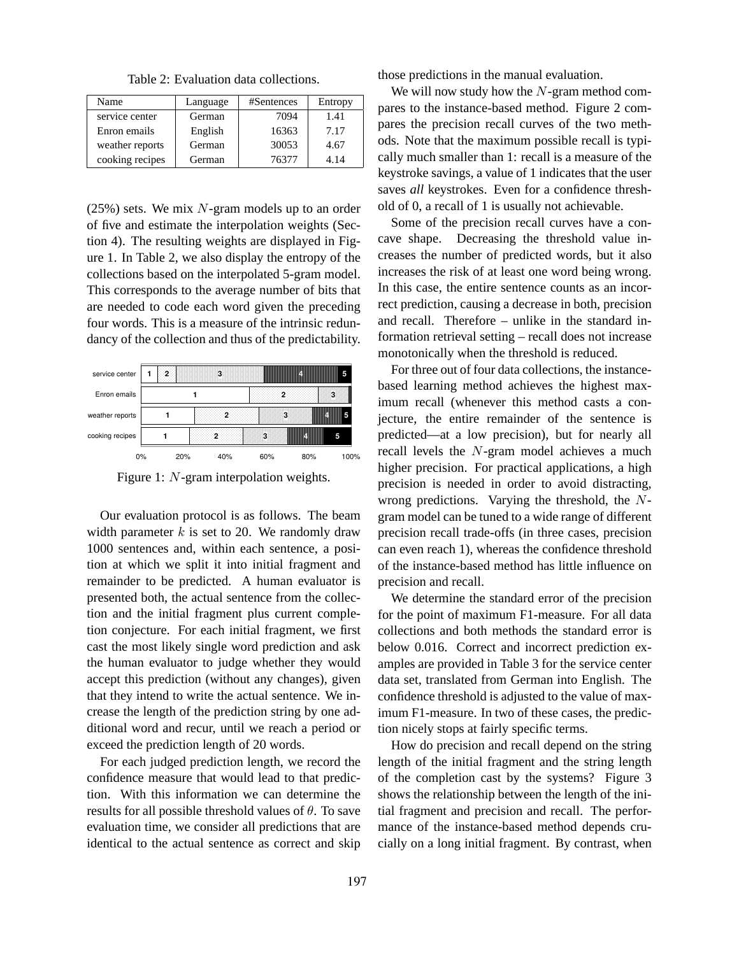Table 2: Evaluation data collections.

| Name            | Language | #Sentences | Entropy |
|-----------------|----------|------------|---------|
| service center  | German   | 7094       | 1.41    |
| Enron emails    | English  | 16363      | 7.17    |
| weather reports | German   | 30053      | 4.67    |
| cooking recipes | German   | 76377      | 4.14    |

 $(25\%)$  sets. We mix N-gram models up to an order of five and estimate the interpolation weights (Section 4). The resulting weights are displayed in Figure 1. In Table 2, we also display the entropy of the collections based on the interpolated 5-gram model. This corresponds to the average number of bits that are needed to code each word given the preceding four words. This is a measure of the intrinsic redundancy of the collection and thus of the predictability.

| service center  | 2 |     | 3   |     |     | 5    |
|-----------------|---|-----|-----|-----|-----|------|
| Enron emails    |   |     |     |     |     | 2    |
| weather reports |   |     |     |     |     |      |
| cooking recipes |   |     |     | o   |     | 5    |
| 0%              |   | 20% | 40% | 60% | 80% | 100% |
|                 |   |     |     |     |     |      |

Figure 1: N-gram interpolation weights.

Our evaluation protocol is as follows. The beam width parameter  $k$  is set to 20. We randomly draw 1000 sentences and, within each sentence, a position at which we split it into initial fragment and remainder to be predicted. A human evaluator is presented both, the actual sentence from the collection and the initial fragment plus current completion conjecture. For each initial fragment, we first cast the most likely single word prediction and ask the human evaluator to judge whether they would accept this prediction (without any changes), given that they intend to write the actual sentence. We increase the length of the prediction string by one additional word and recur, until we reach a period or exceed the prediction length of 20 words.

For each judged prediction length, we record the confidence measure that would lead to that prediction. With this information we can determine the results for all possible threshold values of  $\theta$ . To save evaluation time, we consider all predictions that are identical to the actual sentence as correct and skip

those predictions in the manual evaluation.

We will now study how the  $N$ -gram method compares to the instance-based method. Figure 2 compares the precision recall curves of the two methods. Note that the maximum possible recall is typically much smaller than 1: recall is a measure of the keystroke savings, a value of 1 indicates that the user saves *all* keystrokes. Even for a confidence threshold of 0, a recall of 1 is usually not achievable.

Some of the precision recall curves have a concave shape. Decreasing the threshold value increases the number of predicted words, but it also increases the risk of at least one word being wrong. In this case, the entire sentence counts as an incorrect prediction, causing a decrease in both, precision and recall. Therefore – unlike in the standard information retrieval setting – recall does not increase monotonically when the threshold is reduced.

For three out of four data collections, the instancebased learning method achieves the highest maximum recall (whenever this method casts a conjecture, the entire remainder of the sentence is predicted—at a low precision), but for nearly all recall levels the N-gram model achieves a much higher precision. For practical applications, a high precision is needed in order to avoid distracting, wrong predictions. Varying the threshold, the Ngram model can be tuned to a wide range of different precision recall trade-offs (in three cases, precision can even reach 1), whereas the confidence threshold of the instance-based method has little influence on precision and recall.

We determine the standard error of the precision for the point of maximum F1-measure. For all data collections and both methods the standard error is below 0.016. Correct and incorrect prediction examples are provided in Table 3 for the service center data set, translated from German into English. The confidence threshold is adjusted to the value of maximum F1-measure. In two of these cases, the prediction nicely stops at fairly specific terms.

How do precision and recall depend on the string length of the initial fragment and the string length of the completion cast by the systems? Figure 3 shows the relationship between the length of the initial fragment and precision and recall. The performance of the instance-based method depends crucially on a long initial fragment. By contrast, when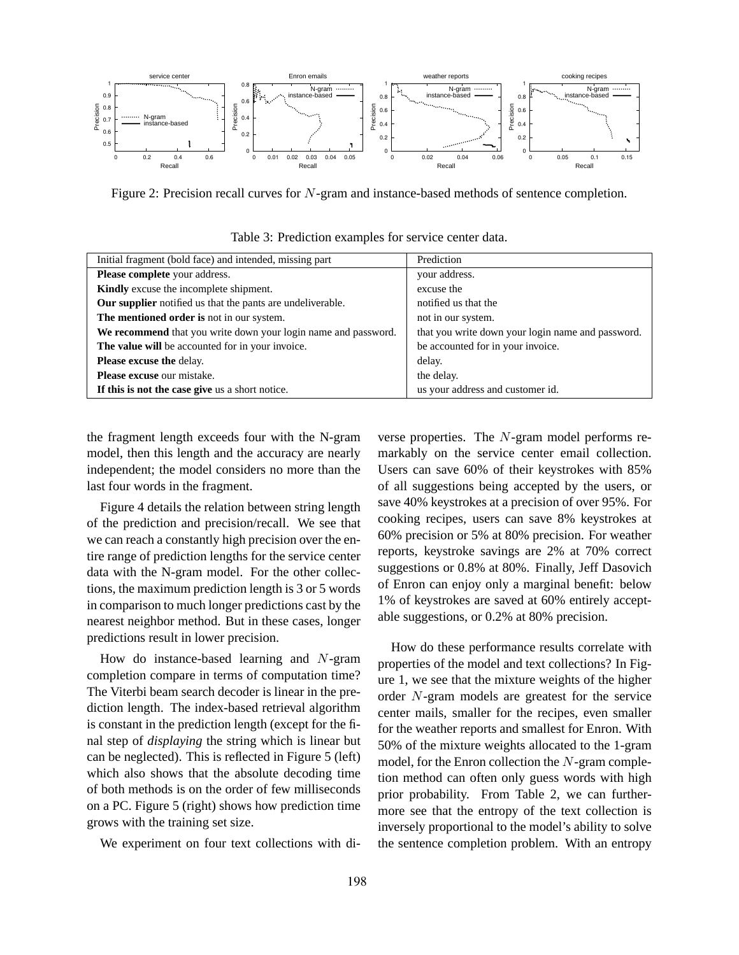

Figure 2: Precision recall curves for N-gram and instance-based methods of sentence completion.

| Initial fragment (bold face) and intended, missing part        | Prediction                                        |  |  |
|----------------------------------------------------------------|---------------------------------------------------|--|--|
| <b>Please complete</b> your address.                           | your address.                                     |  |  |
| <b>Kindly</b> excuse the incomplete shipment.                  | excuse the                                        |  |  |
| Our supplier notified us that the pants are undeliverable.     | notified us that the                              |  |  |
| The mentioned order is not in our system.                      | not in our system.                                |  |  |
| We recommend that you write down your login name and password. | that you write down your login name and password. |  |  |
| The value will be accounted for in your invoice.               | be accounted for in your invoice.                 |  |  |
| Please excuse the delay.                                       | delay.                                            |  |  |
| Please excuse our mistake.                                     | the delay.                                        |  |  |
| If this is not the case give us a short notice.                | us your address and customer id.                  |  |  |

Table 3: Prediction examples for service center data.

the fragment length exceeds four with the N-gram model, then this length and the accuracy are nearly independent; the model considers no more than the last four words in the fragment.

Figure 4 details the relation between string length of the prediction and precision/recall. We see that we can reach a constantly high precision over the entire range of prediction lengths for the service center data with the N-gram model. For the other collections, the maximum prediction length is 3 or 5 words in comparison to much longer predictions cast by the nearest neighbor method. But in these cases, longer predictions result in lower precision.

How do instance-based learning and N-gram completion compare in terms of computation time? The Viterbi beam search decoder is linear in the prediction length. The index-based retrieval algorithm is constant in the prediction length (except for the final step of *displaying* the string which is linear but can be neglected). This is reflected in Figure 5 (left) which also shows that the absolute decoding time of both methods is on the order of few milliseconds on a PC. Figure 5 (right) shows how prediction time grows with the training set size.

We experiment on four text collections with di-

verse properties. The N-gram model performs remarkably on the service center email collection. Users can save 60% of their keystrokes with 85% of all suggestions being accepted by the users, or save 40% keystrokes at a precision of over 95%. For cooking recipes, users can save 8% keystrokes at 60% precision or 5% at 80% precision. For weather reports, keystroke savings are 2% at 70% correct suggestions or 0.8% at 80%. Finally, Jeff Dasovich of Enron can enjoy only a marginal benefit: below 1% of keystrokes are saved at 60% entirely acceptable suggestions, or 0.2% at 80% precision.

How do these performance results correlate with properties of the model and text collections? In Figure 1, we see that the mixture weights of the higher order N-gram models are greatest for the service center mails, smaller for the recipes, even smaller for the weather reports and smallest for Enron. With 50% of the mixture weights allocated to the 1-gram model, for the Enron collection the N-gram completion method can often only guess words with high prior probability. From Table 2, we can furthermore see that the entropy of the text collection is inversely proportional to the model's ability to solve the sentence completion problem. With an entropy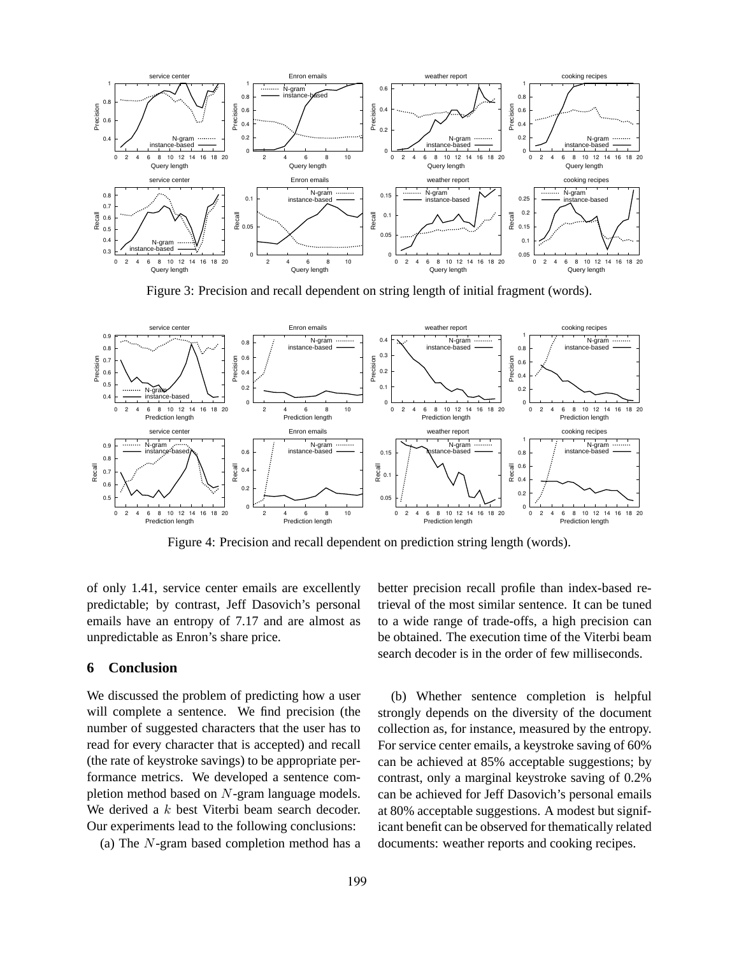

Figure 3: Precision and recall dependent on string length of initial fragment (words).



Figure 4: Precision and recall dependent on prediction string length (words).

of only 1.41, service center emails are excellently predictable; by contrast, Jeff Dasovich's personal emails have an entropy of 7.17 and are almost as unpredictable as Enron's share price.

### **6 Conclusion**

We discussed the problem of predicting how a user will complete a sentence. We find precision (the number of suggested characters that the user has to read for every character that is accepted) and recall (the rate of keystroke savings) to be appropriate performance metrics. We developed a sentence completion method based on N-gram language models. We derived a  $k$  best Viterbi beam search decoder. Our experiments lead to the following conclusions:

(a) The N-gram based completion method has a

better precision recall profile than index-based retrieval of the most similar sentence. It can be tuned to a wide range of trade-offs, a high precision can be obtained. The execution time of the Viterbi beam search decoder is in the order of few milliseconds.

(b) Whether sentence completion is helpful strongly depends on the diversity of the document collection as, for instance, measured by the entropy. For service center emails, a keystroke saving of 60% can be achieved at 85% acceptable suggestions; by contrast, only a marginal keystroke saving of 0.2% can be achieved for Jeff Dasovich's personal emails at 80% acceptable suggestions. A modest but significant benefit can be observed for thematically related documents: weather reports and cooking recipes.